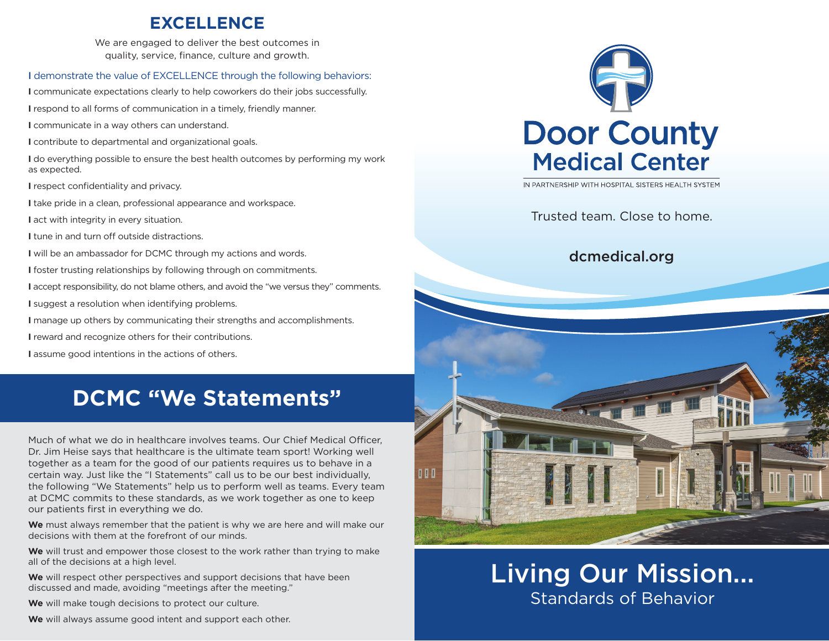## **EXCELLENCE**

We are engaged to deliver the best outcomes in quality, service, finance, culture and growth.

#### I demonstrate the value of EXCELLENCE through the following behaviors:

**I** communicate expectations clearly to help coworkers do their jobs successfully.

**I** respond to all forms of communication in a timely, friendly manner.

**I** communicate in a way others can understand.

**I** contribute to departmental and organizational goals.

**I** do everything possible to ensure the best health outcomes by performing my work as expected.

**I** respect confidentiality and privacy.

**I** take pride in a clean, professional appearance and workspace.

**I** act with integrity in every situation.

**I** tune in and turn off outside distractions.

**I** will be an ambassador for DCMC through my actions and words.

**I** foster trusting relationships by following through on commitments.

**I** accept responsibility, do not blame others, and avoid the "we versus they" comments.

**I** suggest a resolution when identifying problems.

**I** manage up others by communicating their strengths and accomplishments.

**I** reward and recognize others for their contributions.

**I** assume good intentions in the actions of others.

# **DCMC "We Statements"**

Much of what we do in healthcare involves teams. Our Chief Medical Officer, Dr. Jim Heise says that healthcare is the ultimate team sport! Working well together as a team for the good of our patients requires us to behave in a certain way. Just like the "I Statements" call us to be our best individually, the following "We Statements" help us to perform well as teams. Every team at DCMC commits to these standards, as we work together as one to keep our patients first in everything we do.

**We** must always remember that the patient is why we are here and will make our decisions with them at the forefront of our minds.

**We** will trust and empower those closest to the work rather than trying to make all of the decisions at a high level.

**We** will respect other perspectives and support decisions that have been discussed and made, avoiding "meetings after the meeting."

**We** will make tough decisions to protect our culture.

**We** will always assume good intent and support each other.

# **Door County Medical Center**

IN PARTNERSHIP WITH HOSPITAL SISTERS HEALTH SYSTEM

Trusted team. Close to home.

#### dcmedical.org



Living Our Mission... Standards of Behavior